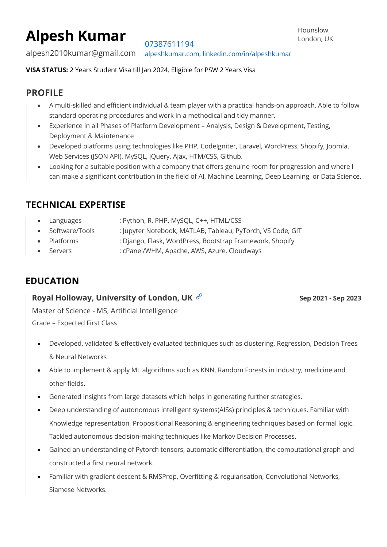# **Alpesh Kumar**

07387611194

alpesh2010kumar@gmail.com alpeshkumar.com, linkedin.com/in/alpeshkumar

**VISA STATUS:** 2 Years Student Visa till Jan 2024. Eligible for PSW 2 Years Visa

# **PROFILE**

- A multi-skilled and efficient individual & team player with a practical hands-on approach. Able to follow standard operating procedures and work in a methodical and tidy manner.
- Experience in all Phases of Platform Development Analysis, Design & Development, Testing, Deployment & Maintenance
- Developed platforms using technologies like PHP, CodeIgniter, Laravel, WordPress, Shopify, Joomla, Web Services (JSON API), MySQL, jQuery, Ajax, HTM/CSS, Github.
- Looking for a suitable position with a company that offers genuine room for progression and where I can make a significant contribution in the field of AI, Machine Learning, Deep Learning, or Data Science.

# **TECHNICAL EXPERTISE**

- Languages : Python, R, PHP, MySQL, C++, HTML/CSS
- Software/Tools : Jupyter Notebook, MATLAB, Tableau, PyTorch, VS Code, GIT
- Platforms : Django, Flask, WordPress, Bootstrap Framework, Shopify
- Servers : cPanel/WHM, Apache, AWS, Azure, Cloudways

# **EDUCATION**

### **Royal Holloway, University of London, UK**  $\mathscr{P}$  **Example 2021 -** Sep 2021 - Sep 2023

Master of Science - MS, Artificial Intelligence Grade – Expected First Class

- Developed, validated & effectively evaluated techniques such as clustering, Regression, Decision Trees & Neural Networks
- Able to implement & apply ML algorithms such as KNN, Random Forests in industry, medicine and other fields.
- Generated insights from large datasets which helps in generating further strategies.
- Deep understanding of autonomous intelligent systems(AISs) principles & techniques. Familiar with Knowledge representation, Propositional Reasoning & engineering techniques based on formal logic. Tackled autonomous decision-making techniques like Markov Decision Processes.
- Gained an understanding of Pytorch tensors, automatic differentiation, the computational graph and constructed a first neural network.
- Familiar with gradient descent & RMSProp, Overfitting & regularisation, Convolutional Networks, Siamese Networks.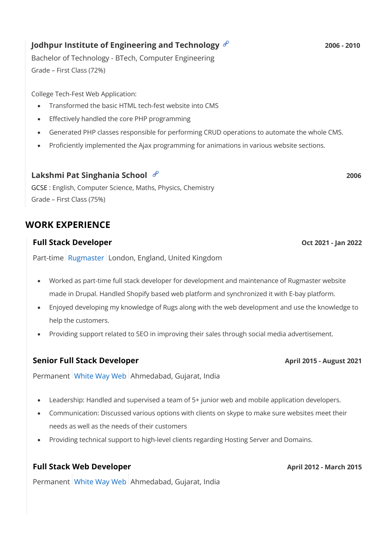### **Jodhpur Institute of Engineering and Technology**  $\mathscr{C}$  **and**  $\mathscr{C}$  **and**  $\mathscr{C}$  **2006 - 2010**

Bachelor of Technology - BTech, Computer Engineering Grade – First Class (72%)

College Tech-Fest Web Application:

- Transformed the basic HTML tech-fest website into CMS
- Effectively handled the core PHP programming
- Generated PHP classes responsible for performing CRUD operations to automate the whole CMS.
- Proficiently implemented the Ajax programming for animations in various website sections.

#### **Lakshmi Pat Singhania School 2006**

GCSE : English, Computer Science, Maths, Physics, Chemistry Grade – First Class (75%)

# **WORK EXPERIENCE**

#### **Full Stack Developer Oct 2021 -** *Jan* 2022

Part-time Rugmaster London, England, United Kingdom

- Worked as part-time full stack developer for development and maintenance of Rugmaster website made in Drupal. Handled Shopify based web platform and synchronized it with E-bay platform.
- Enjoyed developing my knowledge of Rugs along with the web development and use the knowledge to help the customers.
- Providing support related to SEO in improving their sales through social media advertisement.

#### **Senior Full Stack Developer April 2015 - August 2021**

Permanent White Way Web Ahmedabad, Gujarat, India

- Leadership: Handled and supervised a team of 5+ junior web and mobile application developers.
- Communication: Discussed various options with clients on skype to make sure websites meet their needs as well as the needs of their customers
- Providing technical support to high-level clients regarding Hosting Server and Domains.

### **Full Stack Web Developer April 2012 - March 2015**

Permanent White Way Web Ahmedabad, Gujarat, India